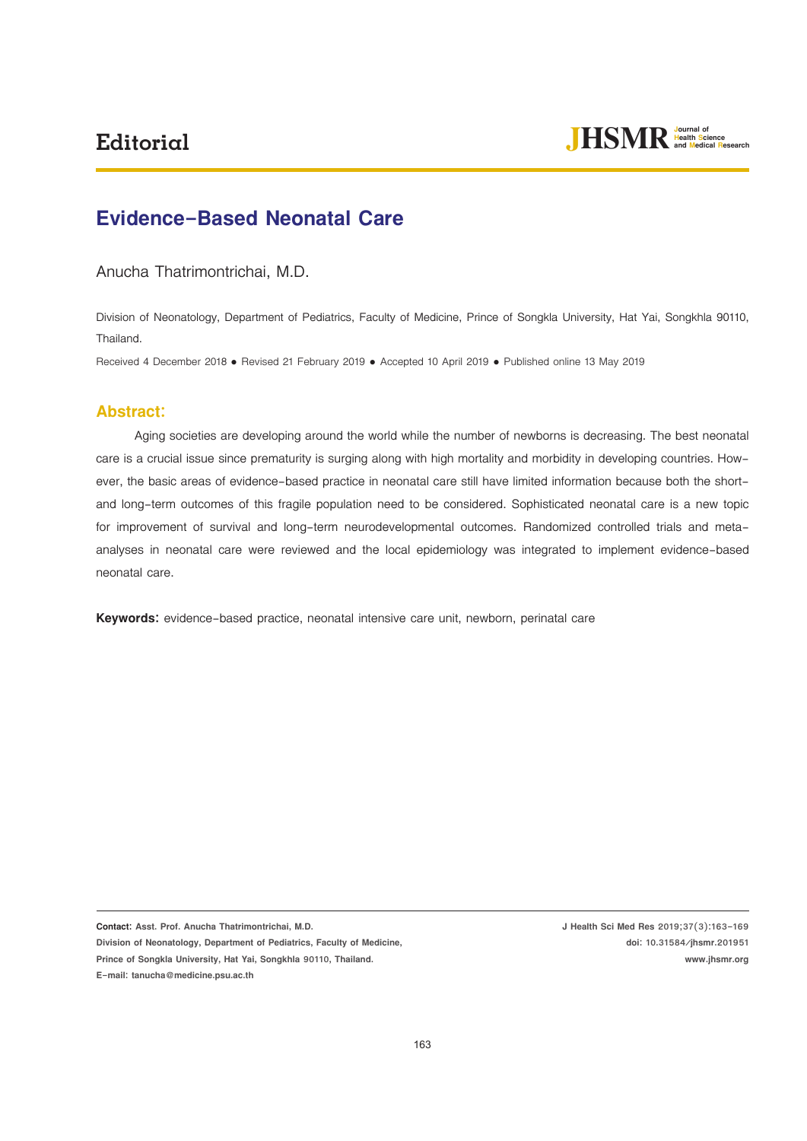

# **Evidence-Based Neonatal Care**

#### Anucha Thatrimontrichai, M.D.

Division of Neonatology, Department of Pediatrics, Faculty of Medicine, Prince of Songkla University, Hat Yai, Songkhla 90110, Thailand.

Received 4 December 2018 · Revised 21 February 2019 · Accepted 10 April 2019 · Published online 13 May 2019

# **Abstract:**

Aging societies are developing around the world while the number of newborns is decreasing. The best neonatal care is a crucial issue since prematurity is surging along with high mortality and morbidity in developing countries. However, the basic areas of evidence-based practice in neonatal care still have limited information because both the shortand long-term outcomes of this fragile population need to be considered. Sophisticated neonatal care is a new topic for improvement of survival and long-term neurodevelopmental outcomes. Randomized controlled trials and metaanalyses in neonatal care were reviewed and the local epidemiology was integrated to implement evidence-based neonatal care.

**Keywords:** evidence-based practice, neonatal intensive care unit, newborn, perinatal care

**Contact: Asst. Prof. Anucha Thatrimontrichai, M.D. Division of Neonatology, Department of Pediatrics, Faculty of Medicine, Prince of Songkla University, Hat Yai, Songkhla 90110, Thailand. E-mail: tanucha@medicine.psu.ac.th** 

**J Health Sci Med Res 2019;37(3):163-169 doi: 10.31584/jhsmr.201951 www.jhsmr.org**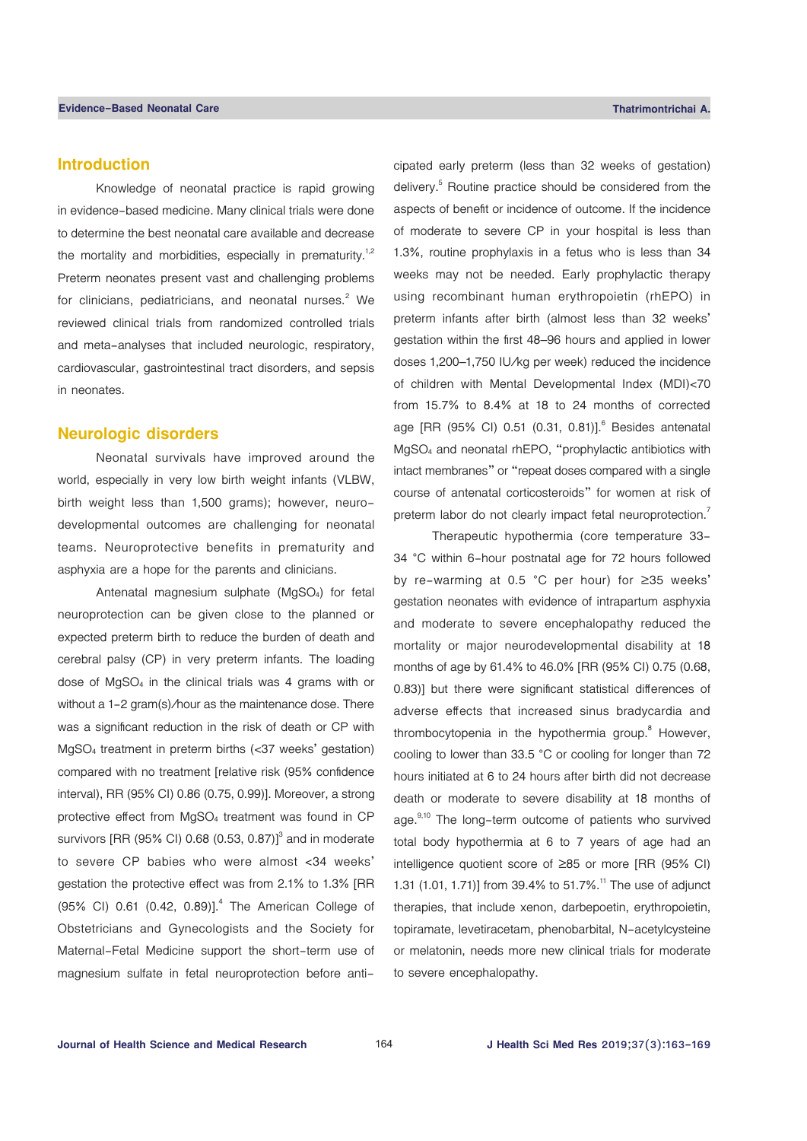## **Introduction**

Knowledge of neonatal practice is rapid growing in evidence-based medicine. Many clinical trials were done to determine the best neonatal care available and decrease the mortality and morbidities, especially in prematurity.<sup>1,2</sup> Preterm neonates present vast and challenging problems for clinicians, pediatricians, and neonatal nurses. $2$  We reviewed clinical trials from randomized controlled trials and meta-analyses that included neurologic, respiratory, cardiovascular, gastrointestinal tract disorders, and sepsis in neonates.

#### **Neurologic disorders**

Neonatal survivals have improved around the world, especially in very low birth weight infants (VLBW, birth weight less than 1,500 grams); however, neurodevelopmental outcomes are challenging for neonatal teams. Neuroprotective benefits in prematurity and asphyxia are a hope for the parents and clinicians.

Antenatal magnesium sulphate (MgSO4) for fetal neuroprotection can be given close to the planned or expected preterm birth to reduce the burden of death and cerebral palsy (CP) in very preterm infants. The loading dose of MgSO4 in the clinical trials was 4 grams with or without a 1-2 gram(s)/hour as the maintenance dose. There was a significant reduction in the risk of death or CP with MgSO4 treatment in preterm births (<37 weeks' gestation) compared with no treatment [relative risk (95% confidence interval), RR (95% CI) 0.86 (0.75, 0.99)]. Moreover, a strong protective effect from MgSO4 treatment was found in CP survivors [RR (95% CI) 0.68 (0.53, 0.87)] $^3$  and in moderate to severe CP babies who were almost <34 weeks' gestation the protective effect was from 2.1% to 1.3% [RR  $(95\% \text{ Cl}) \space 0.61 \space (0.42, 0.89)$ ].<sup>4</sup> The American College of Obstetricians and Gynecologists and the Society for Maternal-Fetal Medicine support the short-term use of magnesium sulfate in fetal neuroprotection before anticipated early preterm (less than 32 weeks of gestation) delivery.<sup>5</sup> Routine practice should be considered from the aspects of benefit or incidence of outcome. If the incidence of moderate to severe CP in your hospital is less than 1.3%, routine prophylaxis in a fetus who is less than 34 weeks may not be needed. Early prophylactic therapy using recombinant human erythropoietin (rhEPO) in preterm infants after birth (almost less than 32 weeks' gestation within the first 48–96 hours and applied in lower doses 1,200–1,750 IU/kg per week) reduced the incidence of children with Mental Developmental Index (MDI)<70 from 15.7% to 8.4% at 18 to 24 months of corrected age [RR (95% CI) 0.51 (0.31, 0.81)].<sup>6</sup> Besides antenatal MgSO4 and neonatal rhEPO, "prophylactic antibiotics with intact membranes" or "repeat doses compared with a single course of antenatal corticosteroids" for women at risk of preterm labor do not clearly impact fetal neuroprotection.<sup>7</sup>

Therapeutic hypothermia (core temperature 33- 34 °C within 6-hour postnatal age for 72 hours followed by re-warming at 0.5 °C per hour) for ≥35 weeks' gestation neonates with evidence of intrapartum asphyxia and moderate to severe encephalopathy reduced the mortality or major neurodevelopmental disability at 18 months of age by 61.4% to 46.0% [RR (95% CI) 0.75 (0.68, 0.83)] but there were significant statistical differences of adverse effects that increased sinus bradycardia and thrombocytopenia in the hypothermia group.<sup>8</sup> However, cooling to lower than 33.5 °C or cooling for longer than 72 hours initiated at 6 to 24 hours after birth did not decrease death or moderate to severe disability at 18 months of age.<sup>9,10</sup> The long-term outcome of patients who survived total body hypothermia at 6 to 7 years of age had an intelligence quotient score of ≥85 or more [RR (95% CI) 1.31 (1.01, 1.71)] from 39.4% to 51.7%.<sup>11</sup> The use of adjunct therapies, that include xenon, darbepoetin, erythropoietin, topiramate, levetiracetam, phenobarbital, N-acetylcysteine or melatonin, needs more new clinical trials for moderate to severe encephalopathy.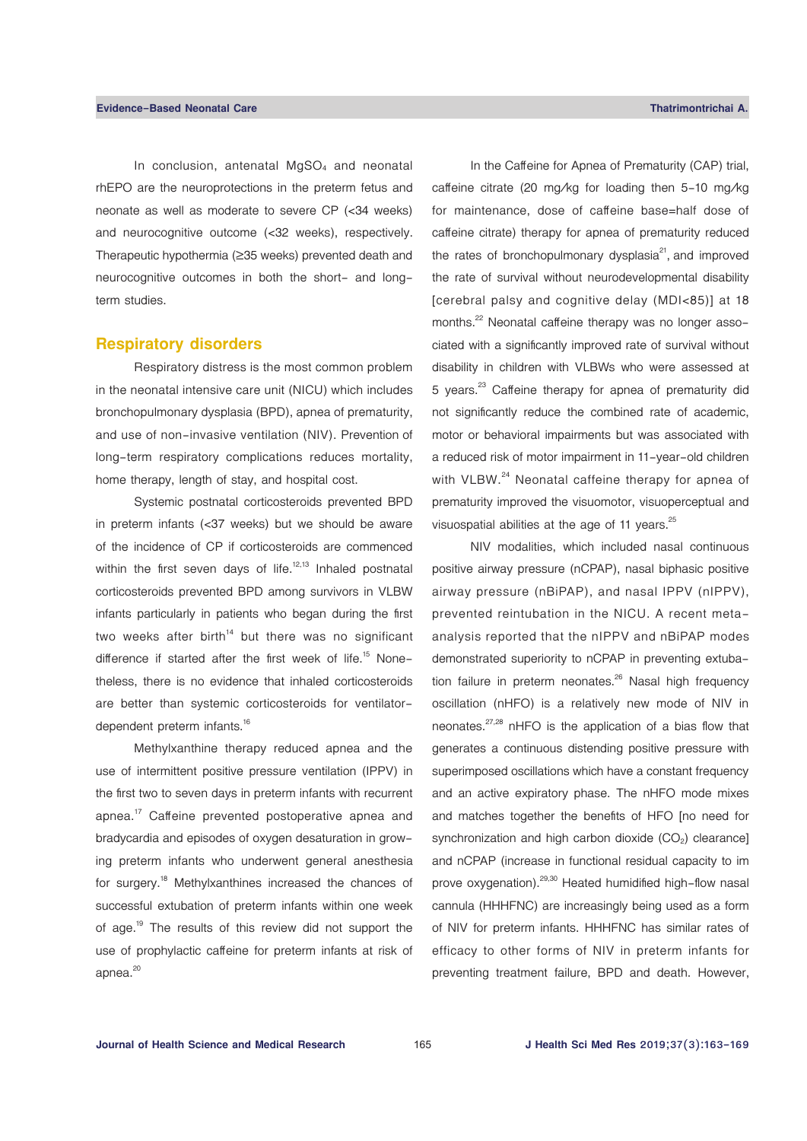In conclusion, antenatal MgSO<sub>4</sub> and neonatal rhEPO are the neuroprotections in the preterm fetus and neonate as well as moderate to severe CP (<34 weeks) and neurocognitive outcome (<32 weeks), respectively. Therapeutic hypothermia (≥35 weeks) prevented death and neurocognitive outcomes in both the short- and longterm studies.

#### **Respiratory disorders**

Respiratory distress is the most common problem in the neonatal intensive care unit (NICU) which includes bronchopulmonary dysplasia (BPD), apnea of prematurity, and use of non-invasive ventilation (NIV). Prevention of long-term respiratory complications reduces mortality, home therapy, length of stay, and hospital cost.

Systemic postnatal corticosteroids prevented BPD in preterm infants (<37 weeks) but we should be aware of the incidence of CP if corticosteroids are commenced within the first seven days of life. $12,13$  Inhaled postnatal corticosteroids prevented BPD among survivors in VLBW infants particularly in patients who began during the first two weeks after birth<sup>14</sup> but there was no significant difference if started after the first week of life.<sup>15</sup> Nonetheless, there is no evidence that inhaled corticosteroids are better than systemic corticosteroids for ventilatordependent preterm infants.<sup>16</sup>

Methylxanthine therapy reduced apnea and the use of intermittent positive pressure ventilation (IPPV) in the first two to seven days in preterm infants with recurrent apnea.17 Caffeine prevented postoperative apnea and bradycardia and episodes of oxygen desaturation in growing preterm infants who underwent general anesthesia for surgery.18 Methylxanthines increased the chances of successful extubation of preterm infants within one week of age.19 The results of this review did not support the use of prophylactic caffeine for preterm infants at risk of apnea.<sup>20</sup>

In the Caffeine for Apnea of Prematurity (CAP) trial, caffeine citrate (20 mg/kg for loading then 5-10 mg/kg for maintenance, dose of caffeine base=half dose of caffeine citrate) therapy for apnea of prematurity reduced the rates of bronchopulmonary dysplasia $21$ , and improved the rate of survival without neurodevelopmental disability [cerebral palsy and cognitive delay (MDI<85)] at 18 months.<sup>22</sup> Neonatal caffeine therapy was no longer associated with a significantly improved rate of survival without disability in children with VLBWs who were assessed at 5 years.<sup>23</sup> Caffeine therapy for apnea of prematurity did not significantly reduce the combined rate of academic, motor or behavioral impairments but was associated with a reduced risk of motor impairment in 11-year-old children with VLBW.<sup>24</sup> Neonatal caffeine therapy for apnea of prematurity improved the visuomotor, visuoperceptual and visuospatial abilities at the age of 11 years.<sup>25</sup>

NIV modalities, which included nasal continuous positive airway pressure (nCPAP), nasal biphasic positive airway pressure (nBiPAP), and nasal IPPV (nIPPV), prevented reintubation in the NICU. A recent metaanalysis reported that the nIPPV and nBiPAP modes demonstrated superiority to nCPAP in preventing extubation failure in preterm neonates.<sup>26</sup> Nasal high frequency oscillation (nHFO) is a relatively new mode of NIV in neonates.<sup>27,28</sup> nHFO is the application of a bias flow that generates a continuous distending positive pressure with superimposed oscillations which have a constant frequency and an active expiratory phase. The nHFO mode mixes and matches together the benefits of HFO [no need for synchronization and high carbon dioxide  $(CO<sub>2</sub>)$  clearance] and nCPAP (increase in functional residual capacity to im prove oxygenation).<sup>29,30</sup> Heated humidified high-flow nasal cannula (HHHFNC) are increasingly being used as a form of NIV for preterm infants. HHHFNC has similar rates of efficacy to other forms of NIV in preterm infants for preventing treatment failure, BPD and death. However,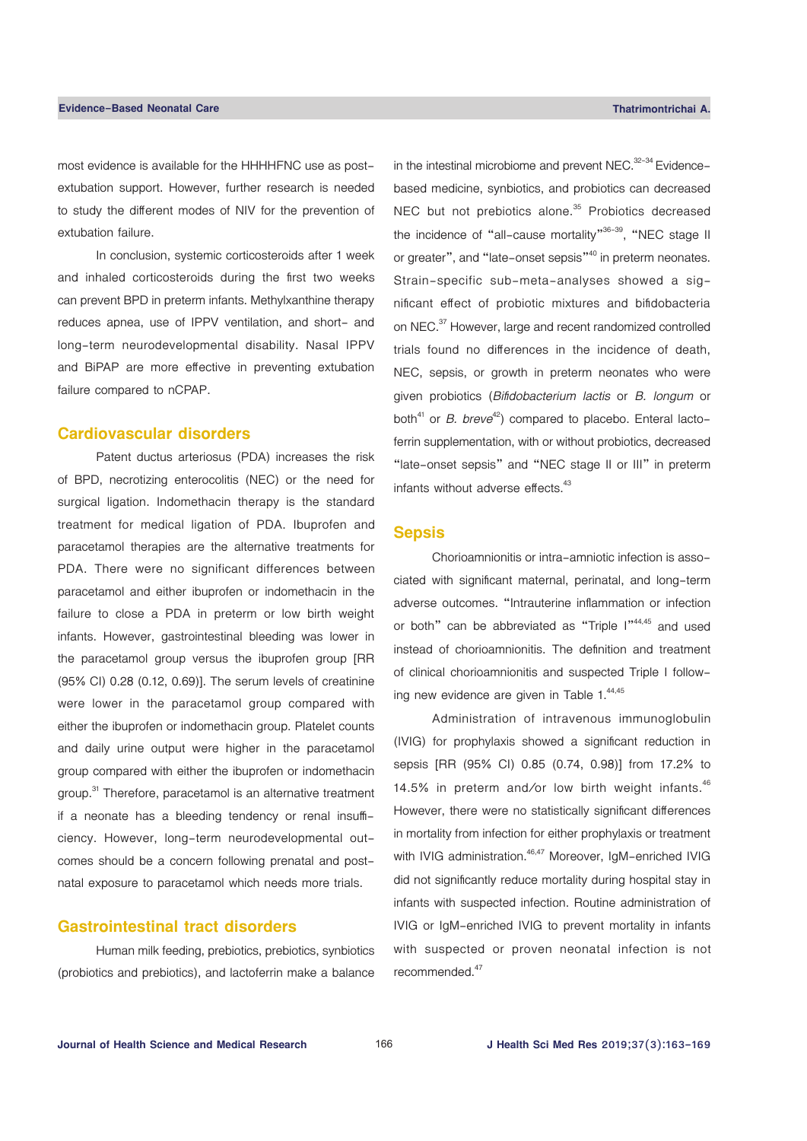most evidence is available for the HHHHFNC use as postextubation support. However, further research is needed to study the different modes of NIV for the prevention of extubation failure.

In conclusion, systemic corticosteroids after 1 week and inhaled corticosteroids during the first two weeks can prevent BPD in preterm infants. Methylxanthine therapy reduces apnea, use of IPPV ventilation, and short- and long-term neurodevelopmental disability. Nasal IPPV and BiPAP are more effective in preventing extubation failure compared to nCPAP.

#### **Cardiovascular disorders**

Patent ductus arteriosus (PDA) increases the risk of BPD, necrotizing enterocolitis (NEC) or the need for surgical ligation. Indomethacin therapy is the standard treatment for medical ligation of PDA. Ibuprofen and paracetamol therapies are the alternative treatments for PDA. There were no significant differences between paracetamol and either ibuprofen or indomethacin in the failure to close a PDA in preterm or low birth weight infants. However, gastrointestinal bleeding was lower in the paracetamol group versus the ibuprofen group [RR (95% CI) 0.28 (0.12, 0.69)]. The serum levels of creatinine were lower in the paracetamol group compared with either the ibuprofen or indomethacin group. Platelet counts and daily urine output were higher in the paracetamol group compared with either the ibuprofen or indomethacin group.<sup>31</sup> Therefore, paracetamol is an alternative treatment if a neonate has a bleeding tendency or renal insufficiency. However, long-term neurodevelopmental outcomes should be a concern following prenatal and postnatal exposure to paracetamol which needs more trials.

# **Gastrointestinal tract disorders**

Human milk feeding, prebiotics, prebiotics, synbiotics (probiotics and prebiotics), and lactoferrin make a balance in the intestinal microbiome and prevent NEC.<sup>32-34</sup> Evidencebased medicine, synbiotics, and probiotics can decreased NEC but not prebiotics alone.<sup>35</sup> Probiotics decreased the incidence of "all-cause mortality"<sup>36-39</sup>, "NEC stage II or greater", and "late-onset sepsis"<sup>40</sup> in preterm neonates. Strain-specific sub-meta-analyses showed a significant effect of probiotic mixtures and bifidobacteria on NEC.37 However, large and recent randomized controlled trials found no differences in the incidence of death, NEC, sepsis, or growth in preterm neonates who were given probiotics (*Bifidobacterium lactis* or *B. longum* or both<sup>41</sup> or *B. breve*<sup>42</sup>) compared to placebo. Enteral lactoferrin supplementation, with or without probiotics, decreased "late-onset sepsis" and "NEC stage II or III" in preterm infants without adverse effects.<sup>43</sup>

#### **Sepsis**

Chorioamnionitis or intra-amniotic infection is associated with significant maternal, perinatal, and long-term adverse outcomes. "Intrauterine inflammation or infection or both" can be abbreviated as "Triple I"44,45 and used instead of chorioamnionitis. The definition and treatment of clinical chorioamnionitis and suspected Triple I following new evidence are given in Table 1.<sup>44,45</sup>

Administration of intravenous immunoglobulin (IVIG) for prophylaxis showed a significant reduction in sepsis [RR (95% CI) 0.85 (0.74, 0.98)] from 17.2% to 14.5% in preterm and/or low birth weight infants. $46$ However, there were no statistically significant differences in mortality from infection for either prophylaxis or treatment with IVIG administration.<sup>46,47</sup> Moreover, IgM-enriched IVIG did not significantly reduce mortality during hospital stay in infants with suspected infection. Routine administration of IVIG or IgM-enriched IVIG to prevent mortality in infants with suspected or proven neonatal infection is not recommended.47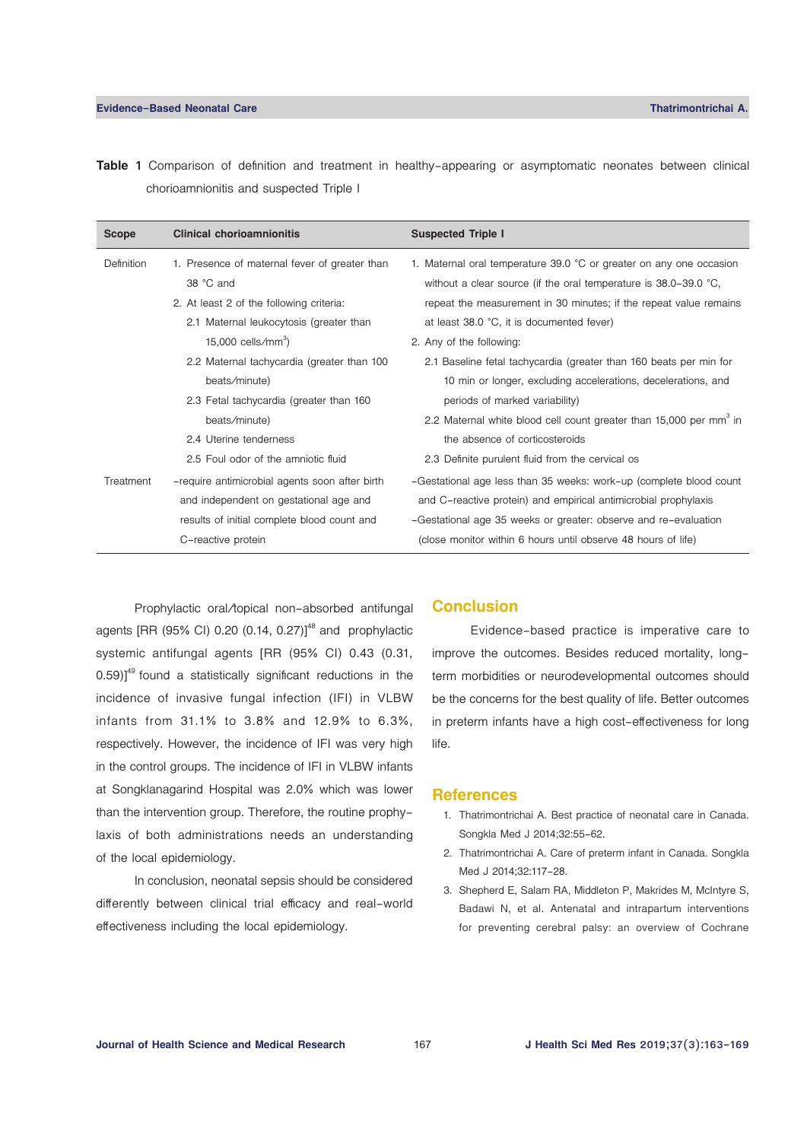**Table 1** Comparison of definition and treatment in healthy-appearing or asymptomatic neonates between clinical chorioamnionitis and suspected Triple I

| <b>Scope</b> | <b>Clinical chorioamnionitis</b>               | <b>Suspected Triple I</b>                                                      |
|--------------|------------------------------------------------|--------------------------------------------------------------------------------|
| Definition   | 1. Presence of maternal fever of greater than  | 1. Maternal oral temperature 39.0 $^{\circ}$ C or greater on any one occasion  |
|              | 38 °C and                                      | without a clear source (if the oral temperature is $38.0-39.0$ °C,             |
|              | 2. At least 2 of the following criteria:       | repeat the measurement in 30 minutes; if the repeat value remains              |
|              | 2.1 Maternal leukocytosis (greater than        | at least 38.0 °C, it is documented fever)                                      |
|              | 15,000 cells/mm <sup>3</sup> )                 | 2. Any of the following:                                                       |
|              | 2.2 Maternal tachycardia (greater than 100     | 2.1 Baseline fetal tachycardia (greater than 160 beats per min for             |
|              | beats/minute)                                  | 10 min or longer, excluding accelerations, decelerations, and                  |
|              | 2.3 Fetal tachycardia (greater than 160        | periods of marked variability)                                                 |
|              | beats/minute)                                  | 2.2 Maternal white blood cell count greater than 15,000 per mm <sup>3</sup> in |
|              | 2.4 Uterine tenderness                         | the absence of corticosteroids                                                 |
|              | 2.5 Foul odor of the amniotic fluid            | 2.3 Definite purulent fluid from the cervical os                               |
| Treatment    | -require antimicrobial agents soon after birth | -Gestational age less than 35 weeks: work-up (complete blood count             |
|              | and independent on gestational age and         | and C-reactive protein) and empirical antimicrobial prophylaxis                |
|              | results of initial complete blood count and    | -Gestational age 35 weeks or greater: observe and re-evaluation                |
|              | C-reactive protein                             | (close monitor within 6 hours until observe 48 hours of life)                  |

Prophylactic oral/topical non-absorbed antifungal agents [RR (95% CI) 0.20 (0.14, 0.27)]<sup>48</sup> and prophylactic systemic antifungal agents [RR (95% CI) 0.43 (0.31,  $0.59$ ]<sup>49</sup> found a statistically significant reductions in the incidence of invasive fungal infection (IFI) in VLBW infants from 31.1% to 3.8% and 12.9% to 6.3%, respectively. However, the incidence of IFI was very high in the control groups. The incidence of IFI in VLBW infants at Songklanagarind Hospital was 2.0% which was lower than the intervention group. Therefore, the routine prophylaxis of both administrations needs an understanding of the local epidemiology.

In conclusion, neonatal sepsis should be considered differently between clinical trial efficacy and real-world effectiveness including the local epidemiology.

## **Conclusion**

Evidence-based practice is imperative care to improve the outcomes. Besides reduced mortality, longterm morbidities or neurodevelopmental outcomes should be the concerns for the best quality of life. Better outcomes in preterm infants have a high cost-effectiveness for long life.

#### **References**

- 1. Thatrimontrichai A. Best practice of neonatal care in Canada. Songkla Med J 2014;32:55-62.
- 2. Thatrimontrichai A. Care of preterm infant in Canada. Songkla Med J 2014;32:117-28.
- 3. Shepherd E, Salam RA, Middleton P, Makrides M, McIntyre S, Badawi N, et al. Antenatal and intrapartum interventions for preventing cerebral palsy: an overview of Cochrane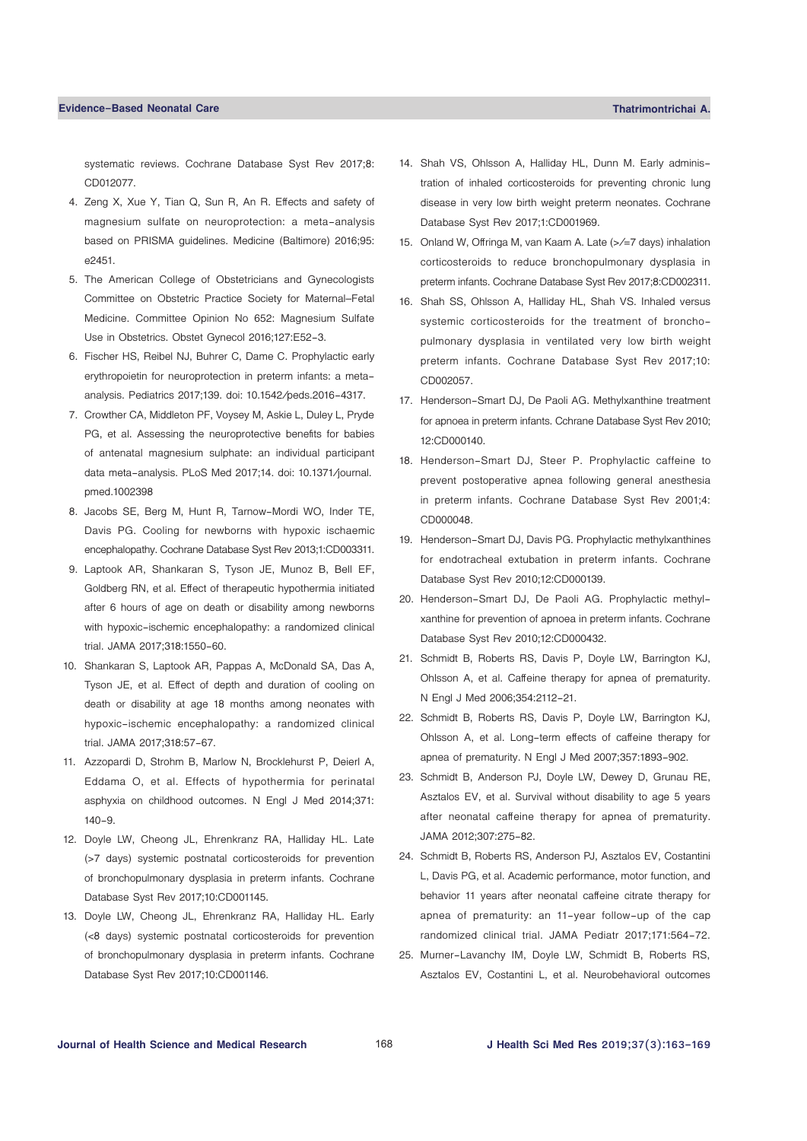systematic reviews. Cochrane Database Syst Rev 2017;8: CD012077.

- 4. Zeng X, Xue Y, Tian Q, Sun R, An R. Effects and safety of magnesium sulfate on neuroprotection: a meta-analysis based on PRISMA guidelines. Medicine (Baltimore) 2016;95: e2451.
- 5. The American College of Obstetricians and Gynecologists Committee on Obstetric Practice Society for Maternal–Fetal Medicine. Committee Opinion No 652: Magnesium Sulfate Use in Obstetrics. Obstet Gynecol 2016;127:E52-3.
- 6. Fischer HS, Reibel NJ, Buhrer C, Dame C. Prophylactic early erythropoietin for neuroprotection in preterm infants: a metaanalysis. Pediatrics 2017;139. doi: 10.1542/peds.2016-4317.
- 7. Crowther CA, Middleton PF, Voysey M, Askie L, Duley L, Pryde PG, et al. Assessing the neuroprotective benefits for babies of antenatal magnesium sulphate: an individual participant data meta-analysis. PLoS Med 2017;14. doi: 10.1371/journal. pmed.1002398
- 8. Jacobs SE, Berg M, Hunt R, Tarnow-Mordi WO, Inder TE, Davis PG. Cooling for newborns with hypoxic ischaemic encephalopathy. Cochrane Database Syst Rev 2013;1:CD003311.
- 9. Laptook AR, Shankaran S, Tyson JE, Munoz B, Bell EF, Goldberg RN, et al. Effect of therapeutic hypothermia initiated after 6 hours of age on death or disability among newborns with hypoxic-ischemic encephalopathy: a randomized clinical trial. JAMA 2017;318:1550-60.
- 10. Shankaran S, Laptook AR, Pappas A, McDonald SA, Das A, Tyson JE, et al. Effect of depth and duration of cooling on death or disability at age 18 months among neonates with hypoxic-ischemic encephalopathy: a randomized clinical trial. JAMA 2017;318:57-67.
- 11. Azzopardi D, Strohm B, Marlow N, Brocklehurst P, Deierl A, Eddama O, et al. Effects of hypothermia for perinatal asphyxia on childhood outcomes. N Engl J Med 2014;371: 140-9.
- 12. Doyle LW, Cheong JL, Ehrenkranz RA, Halliday HL. Late (>7 days) systemic postnatal corticosteroids for prevention of bronchopulmonary dysplasia in preterm infants. Cochrane Database Syst Rev 2017;10:CD001145.
- 13. Doyle LW, Cheong JL, Ehrenkranz RA, Halliday HL. Early (<8 days) systemic postnatal corticosteroids for prevention of bronchopulmonary dysplasia in preterm infants. Cochrane Database Syst Rev 2017;10:CD001146.
- 14. Shah VS, Ohlsson A, Halliday HL, Dunn M. Early administration of inhaled corticosteroids for preventing chronic lung disease in very low birth weight preterm neonates. Cochrane Database Syst Rev 2017;1:CD001969.
- 15. Onland W, Offringa M, van Kaam A. Late (>/=7 days) inhalation corticosteroids to reduce bronchopulmonary dysplasia in preterm infants. Cochrane Database Syst Rev 2017;8:CD002311.
- 16. Shah SS, Ohlsson A, Halliday HL, Shah VS. Inhaled versus systemic corticosteroids for the treatment of bronchopulmonary dysplasia in ventilated very low birth weight preterm infants. Cochrane Database Syst Rev 2017;10: CD002057.
- 17. Henderson-Smart DJ, De Paoli AG. Methylxanthine treatment for apnoea in preterm infants. Cchrane Database Syst Rev 2010; 12:CD000140.
- 18. Henderson-Smart DJ, Steer P. Prophylactic caffeine to prevent postoperative apnea following general anesthesia in preterm infants. Cochrane Database Syst Rev 2001;4: CD000048.
- 19. Henderson-Smart DJ, Davis PG. Prophylactic methylxanthines for endotracheal extubation in preterm infants. Cochrane Database Syst Rev 2010;12:CD000139.
- 20. Henderson-Smart DJ, De Paoli AG. Prophylactic methylxanthine for prevention of apnoea in preterm infants. Cochrane Database Syst Rev 2010;12:CD000432.
- 21. Schmidt B, Roberts RS, Davis P, Doyle LW, Barrington KJ, Ohlsson A, et al. Caffeine therapy for apnea of prematurity. N Engl J Med 2006;354:2112-21.
- 22. Schmidt B, Roberts RS, Davis P, Doyle LW, Barrington KJ, Ohlsson A, et al. Long-term effects of caffeine therapy for apnea of prematurity. N Engl J Med 2007;357:1893-902.
- 23. Schmidt B, Anderson PJ, Doyle LW, Dewey D, Grunau RE, Asztalos EV, et al. Survival without disability to age 5 years after neonatal caffeine therapy for apnea of prematurity. JAMA 2012;307:275-82.
- 24. Schmidt B, Roberts RS, Anderson PJ, Asztalos EV, Costantini L, Davis PG, et al. Academic performance, motor function, and behavior 11 years after neonatal caffeine citrate therapy for apnea of prematurity: an 11-year follow-up of the cap randomized clinical trial. JAMA Pediatr 2017;171:564-72.
- 25. Murner-Lavanchy IM, Doyle LW, Schmidt B, Roberts RS, Asztalos EV, Costantini L, et al. Neurobehavioral outcomes